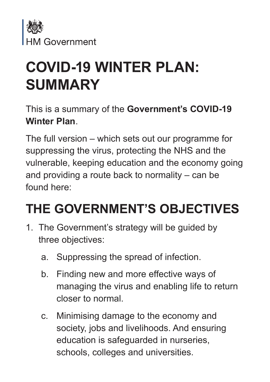

# **COVID-19 WINTER PLAN: SUMMARY**

This is a summary of the **Government's COVID-19 Winter Plan**.

The full version – which sets out our programme for suppressing the virus, protecting the NHS and the vulnerable, keeping education and the economy going and providing a route back to normality – can be found here:

# **THE GOVERNMENT'S OBJECTIVES**

- 1. The Government's strategy will be guided by three objectives:
	- a. Suppressing the spread of infection.
	- b. Finding new and more effective ways of managing the virus and enabling life to return closer to normal.
	- c. Minimising damage to the economy and society, jobs and livelihoods. And ensuring education is safeguarded in nurseries, schools, colleges and universities.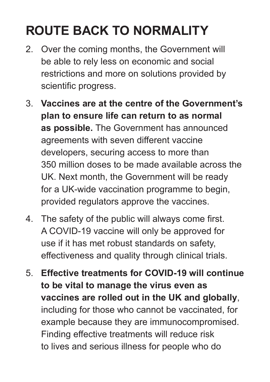# **ROUTE BACK TO NORMALITY**

- 2. Over the coming months, the Government will be able to rely less on economic and social restrictions and more on solutions provided by scientific progress.
- 3. **Vaccines are at the centre of the Government's plan to ensure life can return to as normal as possible.** The Government has announced agreements with seven different vaccine developers, securing access to more than 350 million doses to be made available across the UK. Next month, the Government will be ready for a UK-wide vaccination programme to begin, provided regulators approve the vaccines.
- 4. The safety of the public will always come first. A COVID-19 vaccine will only be approved for use if it has met robust standards on safety, effectiveness and quality through clinical trials.
- 5. **Effective treatments for COVID-19 will continue to be vital to manage the virus even as vaccines are rolled out in the UK and globally**, including for those who cannot be vaccinated, for example because they are immunocompromised. Finding effective treatments will reduce risk to lives and serious illness for people who do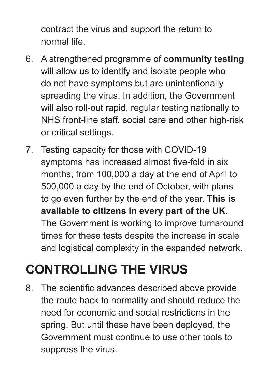contract the virus and support the return to normal life.

- 6. A strengthened programme of **community testing** will allow us to identify and isolate people who do not have symptoms but are unintentionally spreading the virus. In addition, the Government will also roll-out rapid, regular testing nationally to NHS front-line staff, social care and other high-risk or critical settings.
- 7. Testing capacity for those with COVID-19 symptoms has increased almost five-fold in six months, from 100,000 a day at the end of April to 500,000 a day by the end of October, with plans to go even further by the end of the year. **This is available to citizens in every part of the UK**. The Government is working to improve turnaround times for these tests despite the increase in scale and logistical complexity in the expanded network.

### **CONTROLLING THE VIRUS**

8. The scientific advances described above provide the route back to normality and should reduce the need for economic and social restrictions in the spring. But until these have been deployed, the Government must continue to use other tools to suppress the virus.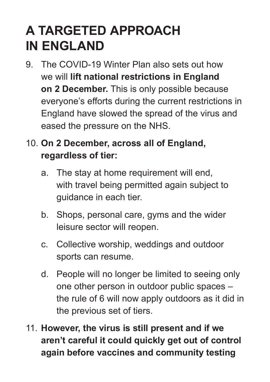### **A TARGETED APPROACH IN ENGLAND**

- 9. The COVID-19 Winter Plan also sets out how we will **lift national restrictions in England on 2 December.** This is only possible because everyone's efforts during the current restrictions in England have slowed the spread of the virus and eased the pressure on the NHS.
- 10. **On 2 December, across all of England, regardless of tier:**
	- a. The stay at home requirement will end, with travel being permitted again subject to guidance in each tier.
	- b. Shops, personal care, gyms and the wider leisure sector will reopen.
	- c. Collective worship, weddings and outdoor sports can resume.
	- d. People will no longer be limited to seeing only one other person in outdoor public spaces – the rule of 6 will now apply outdoors as it did in the previous set of tiers.
- 11. **However, the virus is still present and if we aren't careful it could quickly get out of control again before vaccines and community testing**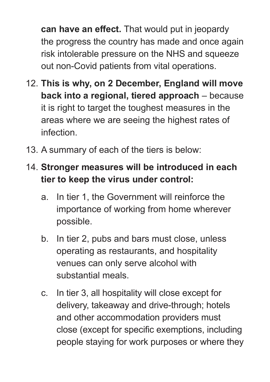**can have an effect.** That would put in jeopardy the progress the country has made and once again risk intolerable pressure on the NHS and squeeze out non-Covid patients from vital operations.

- 12. **This is why, on 2 December, England will move back into a regional, tiered approach** – because it is right to target the toughest measures in the areas where we are seeing the highest rates of infection.
- 13. A summary of each of the tiers is below:

#### 14. **Stronger measures will be introduced in each tier to keep the virus under control:**

- a. In tier 1, the Government will reinforce the importance of working from home wherever possible.
- b. In tier 2, pubs and bars must close, unless operating as restaurants, and hospitality venues can only serve alcohol with substantial meals.
- c. In tier 3, all hospitality will close except for delivery, takeaway and drive-through; hotels and other accommodation providers must close (except for specific exemptions, including people staying for work purposes or where they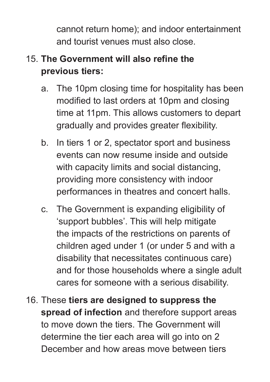cannot return home); and indoor entertainment and tourist venues must also close.

#### 15. **The Government will also refine the previous tiers:**

- a. The 10pm closing time for hospitality has been modified to last orders at 10pm and closing time at 11pm. This allows customers to depart gradually and provides greater flexibility.
- b. In tiers 1 or 2, spectator sport and business events can now resume inside and outside with capacity limits and social distancing, providing more consistency with indoor performances in theatres and concert halls.
- c. The Government is expanding eligibility of 'support bubbles'. This will help mitigate the impacts of the restrictions on parents of children aged under 1 (or under 5 and with a disability that necessitates continuous care) and for those households where a single adult cares for someone with a serious disability.
- 16. These **tiers are designed to suppress the spread of infection** and therefore support areas to move down the tiers. The Government will determine the tier each area will go into on 2 December and how areas move between tiers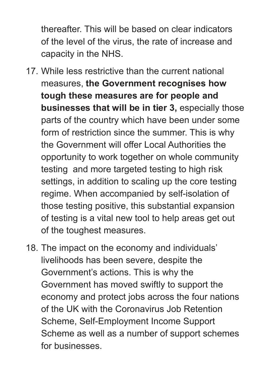thereafter. This will be based on clear indicators of the level of the virus, the rate of increase and capacity in the NHS.

- 17. While less restrictive than the current national measures, **the Government recognises how tough these measures are for people and businesses that will be in tier 3,** especially those parts of the country which have been under some form of restriction since the summer. This is why the Government will offer Local Authorities the opportunity to work together on whole community testing and more targeted testing to high risk settings, in addition to scaling up the core testing regime. When accompanied by self-isolation of those testing positive, this substantial expansion of testing is a vital new tool to help areas get out of the toughest measures.
- 18. The impact on the economy and individuals' livelihoods has been severe, despite the Government's actions. This is why the Government has moved swiftly to support the economy and protect jobs across the four nations of the UK with the Coronavirus Job Retention Scheme, Self-Employment Income Support Scheme as well as a number of support schemes for businesses.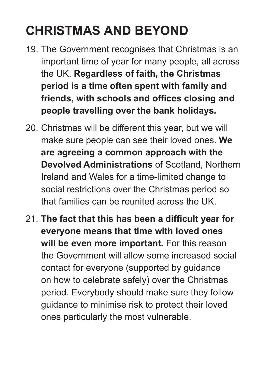# **CHRISTMAS AND BEYOND**

- 19. The Government recognises that Christmas is an important time of year for many people, all across the UK. **Regardless of faith, the Christmas period is a time often spent with family and friends, with schools and offices closing and people travelling over the bank holidays.**
- 20. Christmas will be different this year, but we will make sure people can see their loved ones. **We are agreeing a common approach with the Devolved Administrations** of Scotland, Northern Ireland and Wales for a time-limited change to social restrictions over the Christmas period so that families can be reunited across the UK.
- 21. **The fact that this has been a difficult year for everyone means that time with loved ones**  will be even more important. For this reason the Government will allow some increased social contact for everyone (supported by guidance on how to celebrate safely) over the Christmas period. Everybody should make sure they follow guidance to minimise risk to protect their loved ones particularly the most vulnerable.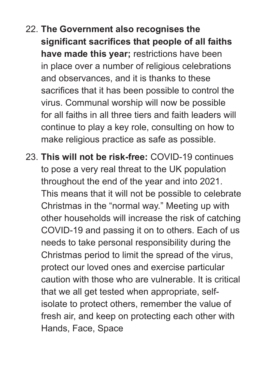- 22. **The Government also recognises the significant sacrifices that people of all faiths have made this year;** restrictions have been in place over a number of religious celebrations and observances, and it is thanks to these sacrifices that it has been possible to control the virus. Communal worship will now be possible for all faiths in all three tiers and faith leaders will continue to play a key role, consulting on how to make religious practice as safe as possible.
- 23. **This will not be risk-free:** COVID-19 continues to pose a very real threat to the UK population throughout the end of the year and into 2021. This means that it will not be possible to celebrate Christmas in the "normal way." Meeting up with other households will increase the risk of catching COVID-19 and passing it on to others. Each of us needs to take personal responsibility during the Christmas period to limit the spread of the virus, protect our loved ones and exercise particular caution with those who are vulnerable. It is critical that we all get tested when appropriate, selfisolate to protect others, remember the value of fresh air, and keep on protecting each other with Hands, Face, Space